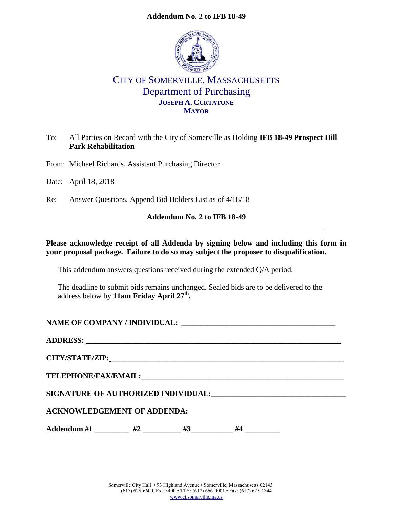#### **Addendum No. 2 to IFB 18-49**



# CITY OF SOMERVILLE, MASSACHUSETTS Department of Purchasing **JOSEPH A. CURTATONE MAYOR**

## To: All Parties on Record with the City of Somerville as Holding **IFB 18-49 Prospect Hill Park Rehabilitation**

From: Michael Richards, Assistant Purchasing Director

Date: April 18, 2018

Re: Answer Questions, Append Bid Holders List as of 4/18/18

#### **Addendum No. 2 to IFB 18-49**

#### **Please acknowledge receipt of all Addenda by signing below and including this form in your proposal package. Failure to do so may subject the proposer to disqualification.**

This addendum answers questions received during the extended Q/A period.

The deadline to submit bids remains unchanged. Sealed bids are to be delivered to the address below by **11am Friday April 27th .**

# **NAME OF COMPANY / INDIVIDUAL: \_\_\_\_\_\_\_\_\_\_\_\_\_\_\_\_\_\_\_\_\_\_\_\_\_\_\_\_\_\_\_\_\_\_\_\_\_\_\_\_\_**

**ADDRESS: \_\_\_\_\_\_\_\_\_\_\_\_\_\_\_\_\_\_\_\_\_\_\_\_\_\_\_\_\_\_\_\_\_\_\_\_\_\_\_\_\_\_\_\_\_\_\_\_\_\_\_\_\_\_\_\_\_\_\_\_\_\_\_\_\_\_\_\_**

**CITY/STATE/ZIP: \_\_\_\_\_\_\_\_\_\_\_\_\_\_\_\_\_\_\_\_\_\_\_\_\_\_\_\_\_\_\_\_\_\_\_\_\_\_\_\_\_\_\_\_\_\_\_\_\_\_\_\_\_\_\_\_\_\_\_\_\_\_**

 $\bf{TELEPHONE/FAX/EMAIL:}$ 

**SIGNATURE OF AUTHORIZED INDIVIDUAL:\_\_\_\_\_\_\_\_\_\_\_\_\_\_\_\_\_\_\_\_\_\_\_\_\_\_\_\_\_\_\_\_\_\_\_**

#### **ACKNOWLEDGEMENT OF ADDENDA:**

Addendum #1 \_\_\_\_\_\_\_\_ #2 \_\_\_\_\_\_\_\_ #3 \_\_\_\_\_\_\_ #4 \_\_\_\_\_\_\_\_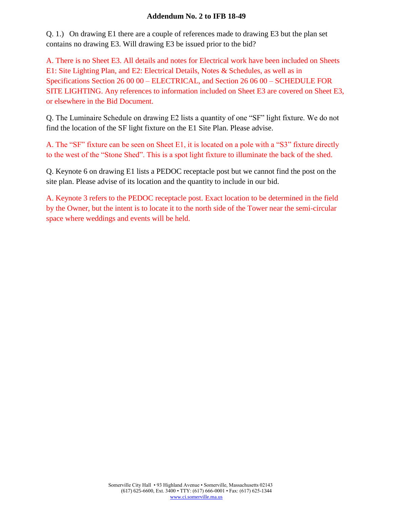#### **Addendum No. 2 to IFB 18-49**

Q. 1.) On drawing E1 there are a couple of references made to drawing E3 but the plan set contains no drawing E3. Will drawing E3 be issued prior to the bid?

A. There is no Sheet E3. All details and notes for Electrical work have been included on Sheets E1: Site Lighting Plan, and E2: Electrical Details, Notes & Schedules, as well as in Specifications Section 26 00 00 – ELECTRICAL, and Section 26 06 00 – SCHEDULE FOR SITE LIGHTING. Any references to information included on Sheet E3 are covered on Sheet E3, or elsewhere in the Bid Document.

Q. The Luminaire Schedule on drawing E2 lists a quantity of one "SF" light fixture. We do not find the location of the SF light fixture on the E1 Site Plan. Please advise.

A. The "SF" fixture can be seen on Sheet E1, it is located on a pole with a "S3" fixture directly to the west of the "Stone Shed". This is a spot light fixture to illuminate the back of the shed.

Q. Keynote 6 on drawing E1 lists a PEDOC receptacle post but we cannot find the post on the site plan. Please advise of its location and the quantity to include in our bid.

A. Keynote 3 refers to the PEDOC receptacle post. Exact location to be determined in the field by the Owner, but the intent is to locate it to the north side of the Tower near the semi-circular space where weddings and events will be held.